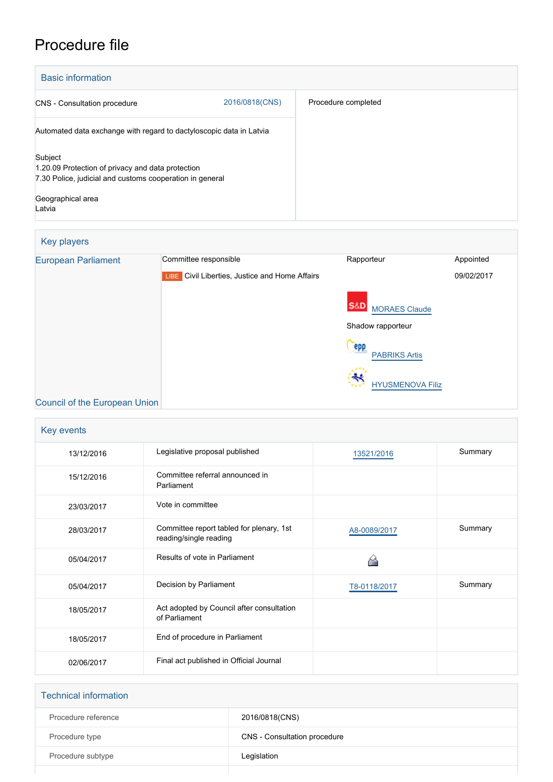# Procedure file

| <b>Basic information</b>                                                                                                 |                |                     |
|--------------------------------------------------------------------------------------------------------------------------|----------------|---------------------|
| <b>CNS</b> - Consultation procedure                                                                                      | 2016/0818(CNS) | Procedure completed |
| Automated data exchange with regard to dactyloscopic data in Latvia                                                      |                |                     |
| Subject<br>1.20.09 Protection of privacy and data protection<br>7.30 Police, judicial and customs cooperation in general |                |                     |
| Geographical area<br>Latvia                                                                                              |                |                     |

| Key players                |                                                |                                        |            |
|----------------------------|------------------------------------------------|----------------------------------------|------------|
| <b>European Parliament</b> | Committee responsible                          | Rapporteur                             | Appointed  |
|                            | LIBE Civil Liberties, Justice and Home Affairs |                                        | 09/02/2017 |
|                            |                                                | <b>S&amp;D</b><br><b>MORAES Claude</b> |            |
|                            |                                                | Shadow rapporteur                      |            |
|                            |                                                | <b>epp</b><br><b>PABRIKS Artis</b>     |            |
|                            |                                                | <b>HYUSMENOVA Filiz</b>                |            |

## [Council of the European Union](http://www.consilium.europa.eu)

| Key events |                                                                    |              |         |
|------------|--------------------------------------------------------------------|--------------|---------|
| 13/12/2016 | Legislative proposal published                                     | 13521/2016   | Summary |
| 15/12/2016 | Committee referral announced in<br>Parliament                      |              |         |
| 23/03/2017 | Vote in committee                                                  |              |         |
| 28/03/2017 | Committee report tabled for plenary, 1st<br>reading/single reading | A8-0089/2017 | Summary |
| 05/04/2017 | Results of vote in Parliament                                      |              |         |
| 05/04/2017 | Decision by Parliament                                             | T8-0118/2017 | Summary |
| 18/05/2017 | Act adopted by Council after consultation<br>of Parliament         |              |         |
| 18/05/2017 | End of procedure in Parliament                                     |              |         |
| 02/06/2017 | Final act published in Official Journal                            |              |         |

| <b>Technical information</b> |                              |
|------------------------------|------------------------------|
| Procedure reference          | 2016/0818(CNS)               |
| Procedure type               | CNS - Consultation procedure |
| Procedure subtype            | Legislation                  |
|                              |                              |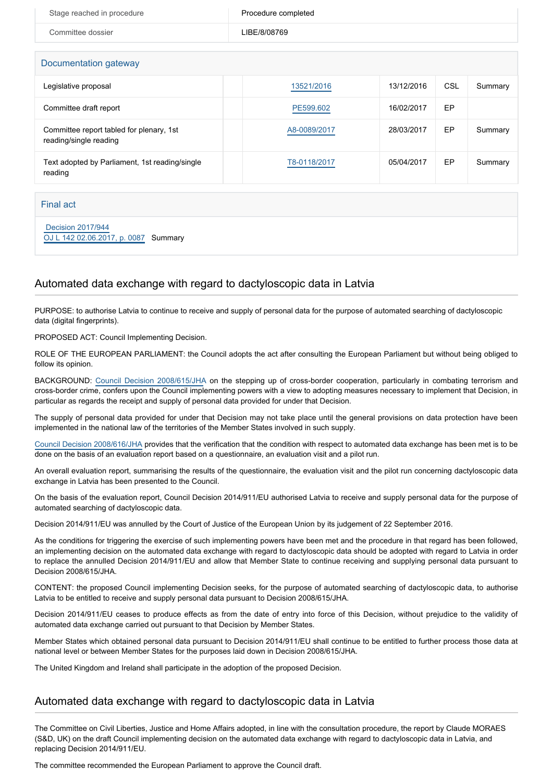| Stage reached in procedure | Procedure completed |
|----------------------------|---------------------|
| Committee dossier          | LIBE/8/08769        |
|                            |                     |

#### Documentation gateway

| Legislative proposal                                               | 13521/2016   | 13/12/2016 | CSL | Summary |
|--------------------------------------------------------------------|--------------|------------|-----|---------|
| Committee draft report                                             | PE599.602    | 16/02/2017 | EP  |         |
| Committee report tabled for plenary, 1st<br>reading/single reading | A8-0089/2017 | 28/03/2017 | EP  | Summary |
| Text adopted by Parliament, 1st reading/single<br>reading          | T8-0118/2017 | 05/04/2017 | EP  | Summary |

#### Final act

 [Decision 2017/944](https://eur-lex.europa.eu/smartapi/cgi/sga_doc?smartapi!celexplus!prod!CELEXnumdoc&lg=EN&numdoc=32017D0944) [OJ L 142 02.06.2017, p. 0087](https://eur-lex.europa.eu/legal-content/EN/TXT/?uri=OJ:L:2017:142:TOC) Summary

#### Automated data exchange with regard to dactyloscopic data in Latvia

PURPOSE: to authorise Latvia to continue to receive and supply of personal data for the purpose of automated searching of dactyloscopic data (digital fingerprints).

PROPOSED ACT: Council Implementing Decision.

ROLE OF THE EUROPEAN PARLIAMENT: the Council adopts the act after consulting the European Parliament but without being obliged to follow its opinion.

BACKGROUND: [Council Decision 2008/615/JHA](http://eur-lex.europa.eu/legal-content/EN/TXT/PDF/?uri=CELEX:32008D0615&from=EN) on the stepping up of cross-border cooperation, particularly in combating terrorism and cross-border crime, confers upon the Council implementing powers with a view to adopting measures necessary to implement that Decision, in particular as regards the receipt and supply of personal data provided for under that Decision.

The supply of personal data provided for under that Decision may not take place until the general provisions on data protection have been implemented in the national law of the territories of the Member States involved in such supply.

[Council Decision 2008/616/JHA](http://eur-lex.europa.eu/legal-content/EN/TXT/PDF/?uri=CELEX:32008D0616&from=EN) provides that the verification that the condition with respect to automated data exchange has been met is to be done on the basis of an evaluation report based on a questionnaire, an evaluation visit and a pilot run.

An overall evaluation report, summarising the results of the questionnaire, the evaluation visit and the pilot run concerning dactyloscopic data exchange in Latvia has been presented to the Council.

On the basis of the evaluation report, Council Decision 2014/911/EU authorised Latvia to receive and supply personal data for the purpose of automated searching of dactyloscopic data.

Decision 2014/911/EU was annulled by the Court of Justice of the European Union by its judgement of 22 September 2016.

As the conditions for triggering the exercise of such implementing powers have been met and the procedure in that regard has been followed, an implementing decision on the automated data exchange with regard to dactyloscopic data should be adopted with regard to Latvia in order to replace the annulled Decision 2014/911/EU and allow that Member State to continue receiving and supplying personal data pursuant to Decision 2008/615/JHA.

CONTENT: the proposed Council implementing Decision seeks, for the purpose of automated searching of dactyloscopic data, to authorise Latvia to be entitled to receive and supply personal data pursuant to Decision 2008/615/JHA.

Decision 2014/911/EU ceases to produce effects as from the date of entry into force of this Decision, without prejudice to the validity of automated data exchange carried out pursuant to that Decision by Member States.

Member States which obtained personal data pursuant to Decision 2014/911/EU shall continue to be entitled to further process those data at national level or between Member States for the purposes laid down in Decision 2008/615/JHA.

The United Kingdom and Ireland shall participate in the adoption of the proposed Decision.

## Automated data exchange with regard to dactyloscopic data in Latvia

The Committee on Civil Liberties, Justice and Home Affairs adopted, in line with the consultation procedure, the report by Claude MORAES (S&D, UK) on the draft Council implementing decision on the automated data exchange with regard to dactyloscopic data in Latvia, and replacing Decision 2014/911/EU.

The committee recommended the European Parliament to approve the Council draft.